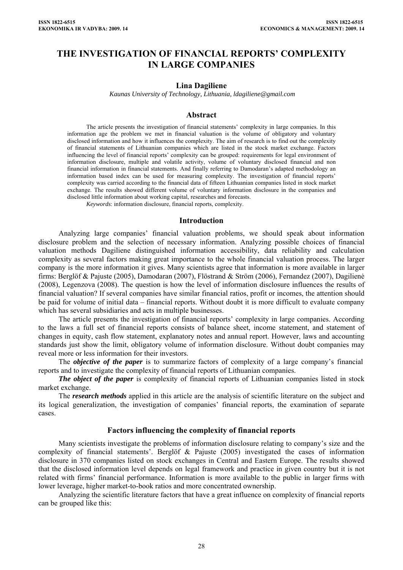# **THE INVESTIGATION OF FINANCIAL REPORTS' COMPLEXITY IN LARGE COMPANIES**

### **Lina Dagiliene**

 *Kaunas University of Technology, Lithuania, ldagiliene@gmail.com* 

### **Abstract**

The article presents the investigation of financial statements' complexity in large companies. In this information age the problem we met in financial valuation is the volume of obligatory and voluntary disclosed information and how it influences the complexity. The aim of research is to find out the complexity of financial statements of Lithuanian companies which are listed in the stock market exchange. Factors influencing the level of financial reports' complexity can be grouped: requirements for legal environment of information disclosure, multiple and volatile activity, volume of voluntary disclosed financial and non financial information in financial statements. And finally referring to Damodaran's adapted methodology an information based index can be used for measuring complexity. The investigation of financial reports' complexity was carried according to the financial data of fifteen Lithuanian companies listed in stock market exchange. The results showed different volume of voluntary information disclosure in the companies and disclosed little information about working capital, researches and forecasts.

*Keywords*: information disclosure, financial reports, complexity.

#### **Introduction**

Analyzing large companies' financial valuation problems, we should speak about information disclosure problem and the selection of necessary information. Analyzing possible choices of financial valuation methods Dagiliene distinguished information accessibility, data reliability and calculation complexity as several factors making great importance to the whole financial valuation process. The larger company is the more information it gives. Many scientists agree that information is more available in larger firms: Berglöf & Pajuste (2005), Damodaran (2007), Flöstrand & Ström (2006), Fernandez (2007), Dagilienė (2008), Legenzova (2008). The question is how the level of information disclosure influences the results of financial valuation? If several companies have similar financial ratios, profit or incomes, the attention should be paid for volume of initial data – financial reports. Without doubt it is more difficult to evaluate company which has several subsidiaries and acts in multiple businesses.

The article presents the investigation of financial reports' complexity in large companies. According to the laws a full set of financial reports consists of balance sheet, income statement, and statement of changes in equity, cash flow statement, explanatory notes and annual report. However, laws and accounting standards just show the limit, obligatory volume of information disclosure. Without doubt companies may reveal more or less information for their investors.

The *objective of the paper* is to summarize factors of complexity of a large company's financial reports and to investigate the complexity of financial reports of Lithuanian companies.

*The object of the paper* is complexity of financial reports of Lithuanian companies listed in stock market exchange.

The *research methods* applied in this article are the analysis of scientific literature on the subject and its logical generalization, the investigation of companies' financial reports, the examination of separate cases.

### **Factors influencing the complexity of financial reports**

Many scientists investigate the problems of information disclosure relating to company's size and the complexity of financial statements'. Berglöf & Pajuste (2005) investigated the cases of information disclosure in 370 companies listed on stock exchanges in Central and Eastern Europe. The results showed that the disclosed information level depends on legal framework and practice in given country but it is not related with firms' financial performance. Information is more available to the public in larger firms with lower leverage, higher market-to-book ratios and more concentrated ownership.

Analyzing the scientific literature factors that have a great influence on complexity of financial reports can be grouped like this: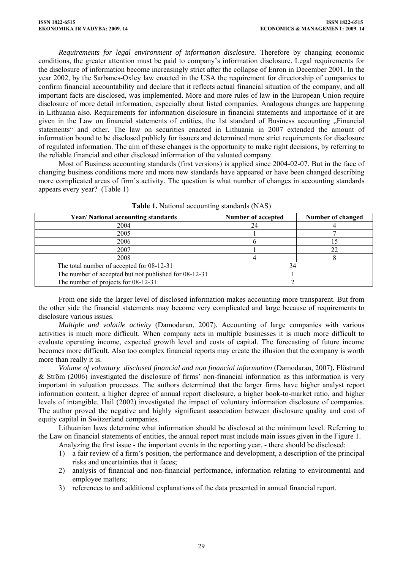*Requirements for legal environment of information disclosure.* Therefore by changing economic conditions, the greater attention must be paid to company's information disclosure. Legal requirements for the disclosure of information become increasingly strict after the collapse of Enron in December 2001. In the year 2002, by the Sarbanes-Oxley law enacted in the USA the requirement for directorship of companies to confirm financial accountability and declare that it reflects actual financial situation of the company, and all important facts are disclosed, was implemented. More and more rules of law in the European Union require disclosure of more detail information, especially about listed companies. Analogous changes are happening in Lithuania also. Requirements for information disclosure in financial statements and importance of it are given in the Law on financial statements of entities, the 1st standard of Business accounting "Financial statements" and other. The law on securities enacted in Lithuania in 2007 extended the amount of information bound to be disclosed publicly for issuers and determined more strict requirements for disclosure of regulated information. The aim of these changes is the opportunity to make right decisions, by referring to the reliable financial and other disclosed information of the valuated company.

Most of Business accounting standards (first versions) is applied since 2004-02-07. But in the face of changing business conditions more and more new standards have appeared or have been changed describing more complicated areas of firm's activity. The question is what number of changes in accounting standards appears every year? (Table 1)

| <b>Year/National accounting standards</b>             | <b>Number of accepted</b> | Number of changed |
|-------------------------------------------------------|---------------------------|-------------------|
| 2004                                                  | 24                        |                   |
| 2005                                                  |                           |                   |
| 2006                                                  |                           |                   |
| 2007                                                  |                           | 22                |
| 2008                                                  |                           |                   |
| The total number of accepted for 08-12-31             |                           |                   |
| The number of accepted but not published for 08-12-31 |                           |                   |
| The number of projects for 08-12-31                   |                           |                   |

**Table 1.** National accounting standards (NAS)

From one side the larger level of disclosed information makes accounting more transparent. But from the other side the financial statements may become very complicated and large because of requirements to disclosure various issues.

*Multiple and volatile activity* (Damodaran, 2007)*.* Accounting of large companies with various activities is much more difficult. When company acts in multiple businesses it is much more difficult to evaluate operating income, expected growth level and costs of capital. The forecasting of future income becomes more difficult. Also too complex financial reports may create the illusion that the company is worth more than really it is.

*Volume of voluntary disclosed financial and non financial information* (Damodaran, 2007)**.** Flöstrand & Ström (2006) investigated the disclosure of firms' non-financial information as this information is very important in valuation processes. The authors determined that the larger firms have higher analyst report information content, a higher degree of annual report disclosure, a higher book-to-market ratio, and higher levels of intangible. Hail (2002) investigated the impact of voluntary information disclosure of companies. The author proved the negative and highly significant association between disclosure quality and cost of equity capital in Switzerland companies.

Lithuanian laws determine what information should be disclosed at the minimum level. Referring to the Law on financial statements of entities, the annual report must include main issues given in the Figure 1.

Analyzing the first issue - the important events in the reporting year, - there should be disclosed:

- 1) a fair review of a firm's position, the performance and development, a description of the principal risks and uncertainties that it faces;
- 2) analysis of financial and non-financial performance, information relating to environmental and employee matters;
- 3) references to and additional explanations of the data presented in annual financial report.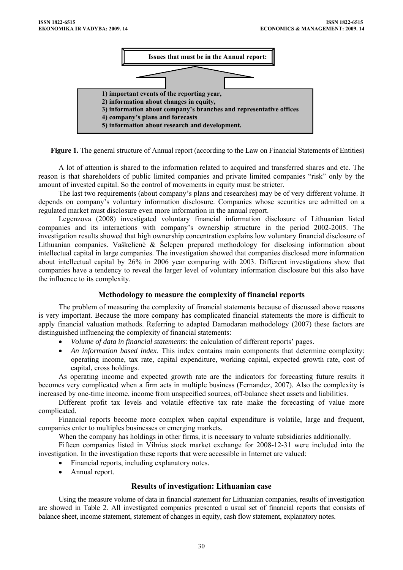

**Figure 1.** The general structure of Annual report (according to the Law on Financial Statements of Entities)

A lot of attention is shared to the information related to acquired and transferred shares and etc. The reason is that shareholders of public limited companies and private limited companies "risk" only by the amount of invested capital. So the control of movements in equity must be stricter.

The last two requirements (about company's plans and researches) may be of very different volume. It depends on company's voluntary information disclosure. Companies whose securities are admitted on a regulated market must disclosure even more information in the annual report.

Legenzova (2008) investigated voluntary financial information disclosure of Lithuanian listed companies and its interactions with company's ownership structure in the period 2002-2005. The investigation results showed that high ownership concentration explains low voluntary financial disclosure of Lithuanian companies. Vaškelienė & Šelepen prepared methodology for disclosing information about intellectual capital in large companies. The investigation showed that companies disclosed more information about intellectual capital by 26% in 2006 year comparing with 2003. Different investigations show that companies have a tendency to reveal the larger level of voluntary information disclosure but this also have the influence to its complexity.

## **Methodology to measure the complexity of financial reports**

The problem of measuring the complexity of financial statements because of discussed above reasons is very important. Because the more company has complicated financial statements the more is difficult to apply financial valuation methods. Referring to adapted Damodaran methodology (2007) these factors are distinguished influencing the complexity of financial statements:

- *Volume of data in financial statements*: the calculation of different reports' pages.
- *An information based index*. This index contains main components that determine complexity: operating income, tax rate, capital expenditure, working capital, expected growth rate, cost of capital, cross holdings.

As operating income and expected growth rate are the indicators for forecasting future results it becomes very complicated when a firm acts in multiple business (Fernandez, 2007). Also the complexity is increased by one-time income, income from unspecified sources, off-balance sheet assets and liabilities.

Different profit tax levels and volatile effective tax rate make the forecasting of value more complicated.

Financial reports become more complex when capital expenditure is volatile, large and frequent, companies enter to multiples businesses or emerging markets.

When the company has holdings in other firms, it is necessary to valuate subsidiaries additionally.

Fifteen companies listed in Vilnius stock market exchange for 2008-12-31 were included into the investigation. In the investigation these reports that were accessible in Internet are valued:

- Financial reports, including explanatory notes.
- Annual report.

## **Results of investigation: Lithuanian case**

Using the measure volume of data in financial statement for Lithuanian companies, results of investigation are showed in Table 2. All investigated companies presented a usual set of financial reports that consists of balance sheet, income statement, statement of changes in equity, cash flow statement, explanatory notes.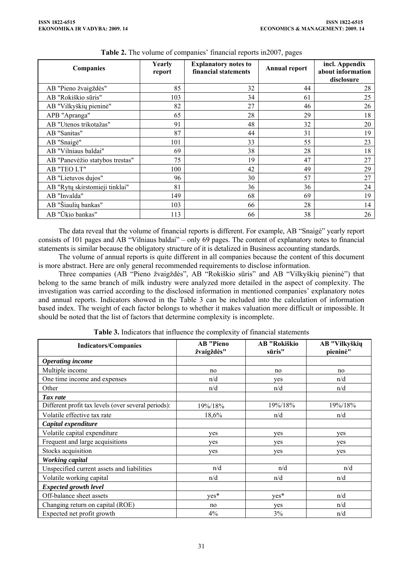| <b>Companies</b>                | Yearly<br>report | <b>Explanatory notes to</b><br>financial statements | <b>Annual report</b> | incl. Appendix<br>about information<br>disclosure |
|---------------------------------|------------------|-----------------------------------------------------|----------------------|---------------------------------------------------|
| AB "Pieno žvaigždės"            | 85               | 32                                                  | 44                   | 28                                                |
| AB "Rokiškio sūris"             | 103              | 34                                                  | 61                   | 25                                                |
| AB "Vilkyškių pieninė"          | 82               | 27                                                  | 46                   | 26                                                |
| APB "Apranga"                   | 65               | 28                                                  | 29                   | 18                                                |
| AB "Utenos trikotažas"          | 91               | 48                                                  | 32                   | 20                                                |
| AB "Sanitas"                    | 87               | 44                                                  | 31                   | 19                                                |
| AB "Snaigė"                     | 101              | 33                                                  | 55                   | 23                                                |
| AB "Vilniaus baldai"            | 69               | 38                                                  | 28                   | 18                                                |
| AB "Panevėžio statybos trestas" | 75               | 19                                                  | 47                   | 27                                                |
| AB "TEO LT"                     | 100              | 42                                                  | 49                   | 29                                                |
| AB "Lietuvos dujos"             | 96               | 30                                                  | 57                   | 27                                                |
| AB "Rytų skirstomieji tinklai"  | 81               | 36                                                  | 36                   | 24                                                |
| AB "Invalda"                    | 149              | 68                                                  | 69                   | 19                                                |
| AB "Šiaulių bankas"             | 103              | 66                                                  | 28                   | 14                                                |
| AB "Ūkio bankas"                | 113              | 66                                                  | 38                   | 26                                                |

| Table 2. The volume of companies' financial reports in 2007, pages |  |  |  |
|--------------------------------------------------------------------|--|--|--|
|--------------------------------------------------------------------|--|--|--|

The data reveal that the volume of financial reports is different. For example, AB "Snaigė" yearly report consists of 101 pages and AB "Vilniaus baldai" – only 69 pages. The content of explanatory notes to financial statements is similar because the obligatory structure of it is detalized in Business accounting standards.

The volume of annual reports is quite different in all companies because the content of this document is more abstract. Here are only general recommended requirements to disclose information.

Three companies (AB "Pieno žvaigždės", AB "Rokiškio sūris" and AB "Vilkyškių pieninė") that belong to the same branch of milk industry were analyzed more detailed in the aspect of complexity. The investigation was carried according to the disclosed information in mentioned companies' explanatory notes and annual reports. Indicators showed in the Table 3 can be included into the calculation of information based index. The weight of each factor belongs to whether it makes valuation more difficult or impossible. It should be noted that the list of factors that determine complexity is incomplete.

| <b>Indicators/Companies</b>                         | <b>AB</b> "Pieno<br>žvaigždės" | AB "Rokiškio<br>sūris" | AB "Vilkyškių<br>pieninė" |
|-----------------------------------------------------|--------------------------------|------------------------|---------------------------|
| <b>Operating income</b>                             |                                |                        |                           |
| Multiple income                                     | no                             | no                     | no                        |
| One time income and expenses                        | n/d                            | yes                    | n/d                       |
| Other                                               | n/d                            | n/d                    | n/d                       |
| Tax rate                                            |                                |                        |                           |
| Different profit tax levels (over several periods): | 19%/18%                        | 19%/18%                | 19%/18%                   |
| Volatile effective tax rate                         | 18,6%                          | n/d                    | n/d                       |
| Capital expenditure                                 |                                |                        |                           |
| Volatile capital expenditure                        | yes                            | ves                    | ves                       |
| Frequent and large acquisitions                     | yes                            | yes                    | yes                       |
| Stocks acquisition                                  | ves                            | yes                    | yes                       |
| <b>Working capital</b>                              |                                |                        |                           |
| Unspecified current assets and liabilities          | n/d                            | n/d                    | n/d                       |
| Volatile working capital                            | n/d                            | n/d                    | n/d                       |
| <b>Expected growth level</b>                        |                                |                        |                           |
| Off-balance sheet assets                            | yes*                           | yes*                   | n/d                       |
| Changing return on capital (ROE)                    | no                             | yes                    | n/d                       |
| Expected net profit growth                          | 4%                             | 3%                     | n/d                       |

**Table 3.** Indicators that influence the complexity of financial statements